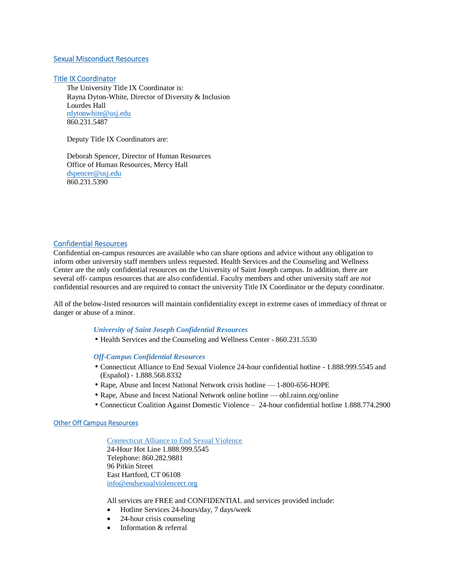# Sexual Misconduct Resources

## Title IX Coordinator

The University Title IX Coordinator is: Rayna Dyton-White, Director of Diversity & Inclusion Lourdes Hall [rdytonwhite@usj.edu](mailto:rdytonwhite@usj.edu) 860.231.5487

Deputy Title IX Coordinators are:

Deborah Spencer, Director of Human Resources Office of Human Resources, Mercy Hall [dspencer@usj.edu](mailto:dspencer@usj.edu) 860.231.5390

### Confidential Resources

Confidential on-campus resources are available who can share options and advice without any obligation to inform other university staff members unless requested. Health Services and the Counseling and Wellness Center are the only confidential resources on the University of Saint Joseph campus. In addition, there are several off- campus resources that are also confidential. Faculty members and other university staff are *not*  confidential resources and are required to contact the university Title IX Coordinator or the deputy coordinator.

All of the below-listed resources will maintain confidentiality except in extreme cases of immediacy of threat or danger or abuse of a minor.

# *University of Saint Joseph Confidential Resources*

• Health Services and the Counseling and Wellness Center - 860.231.5530

*Off-Campus Confidential Resources*

- Connecticut Alliance to End Sexual Violence 24-hour confidential hotline 1.888.999.5545 and (Español) - 1.888.568.8332
- Rape, Abuse and Incest National Network crisis hotline 1-800-656-HOPE
- Rape, Abuse and Incest National Network online hotline ohl.rainn.org/online
- Connecticut Coalition Against Domestic Violence 24-hour confidential hotline 1.888.774.2900

## Other Off Campus Resources

Connecticut Alliance to End Sexual Violence 24-Hour Hot Line 1.888.999.5545 Telephone: 860.282.9881 96 Pitkin Street East Hartford, CT 06108 [info@endsexualviolencect.org](mailto:info@endsexualviolencect.org)

All services are FREE and CONFIDENTIAL and services provided include:

- Hotline Services 24-hours/day, 7 days/week
- 24-hour crisis counseling
- Information & referral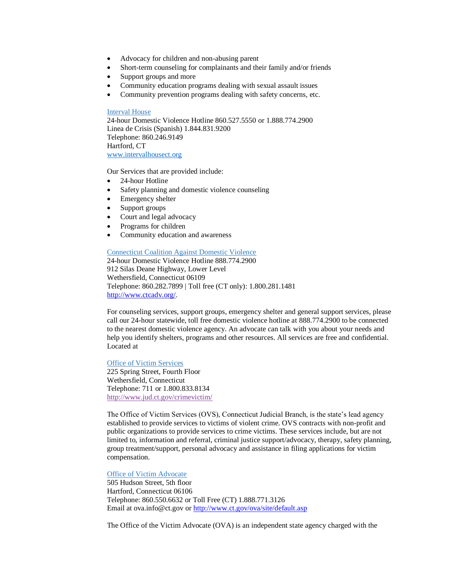- Advocacy for children and non-abusing parent
- Short-term counseling for complainants and their family and/or friends
- Support groups and more
- Community education programs dealing with sexual assault issues
- Community prevention programs dealing with safety concerns, etc.

#### Interval House

24-hour Domestic Violence Hotline 860.527.5550 or 1.888.774.2900 Linea de Crisis (Spanish) 1.844.831.9200 Telephone: 860.246.9149 Hartford, CT [www.intervalhousect.org](http://www.intervalhousect.org/)

Our Services that are provided include:

- 24-hour Hotline
- Safety planning and domestic violence counseling
- Emergency shelter
- Support groups
- Court and legal advocacy
- Programs for children
- Community education and awareness

#### Connecticut Coalition Against Domestic Violence

24-hour Domestic Violence Hotline 888.774.2900 912 Silas Deane Highway, Lower Level Wethersfield, Connecticut 06109 Telephone: 860.282.7899 | Toll free (CT only): 1.800.281.1481 [http://www.ctcadv.org/.](http://www.ctcadv.org/)

For counseling services, support groups, emergency shelter and general support services, please call our 24-hour statewide, toll free domestic violence hotline at 888.774.2900 to be connected to the nearest domestic violence agency. An advocate can talk with you about your needs and help you identify shelters, programs and other resources. All services are free and confidential. Located at

#### **Office of Victim Services**

225 Spring Street, Fourth Floor Wethersfield, Connecticut Telephone: 711 or 1.800.833.8134 <http://www.jud.ct.gov/crimevictim/>

The Office of Victim Services (OVS), Connecticut Judicial Branch, is the state's lead agency established to provide services to victims of violent crime. OVS contracts with non-profit and public organizations to provide services to crime victims. These services include, but are not limited to, information and referral, criminal justice support/advocacy, therapy, safety planning, group treatment/support, personal advocacy and assistance in filing applications for victim compensation.

### Office of Victim Advocate

505 Hudson Street, 5th floor Hartford, Connecticut 06106 Telephone: 860.550.6632 or Toll Free (CT) 1.888.771.3126 Email at [ova.info@ct.gov](mailto:ova.info@ct.gov) or<http://www.ct.gov/ova/site/default.asp>

The Office of the Victim Advocate (OVA) is an independent state agency charged with the